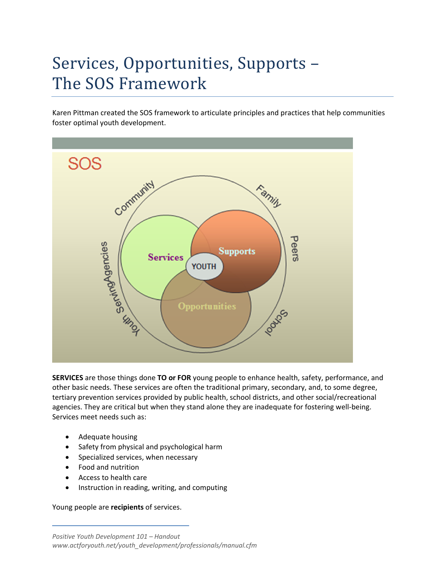## Services, Opportunities, Supports -The SOS Framework

Karen Pittman created the SOS framework to articulate principles and practices that help communities foster optimal youth development.



**SERVICES** are those things done **TO or FOR** young people to enhance health, safety, performance, and other basic needs. These services are often the traditional primary, secondary, and, to some degree, tertiary prevention services provided by public health, school districts, and other social/recreational agencies. They are critical but when they stand alone they are inadequate for fostering well-being. Services meet needs such as:

- Adequate housing
- Safety from physical and psychological harm
- Specialized services, when necessary
- Food and nutrition
- Access to health care
- **•** Instruction in reading, writing, and computing

Young people are **recipients** of services.